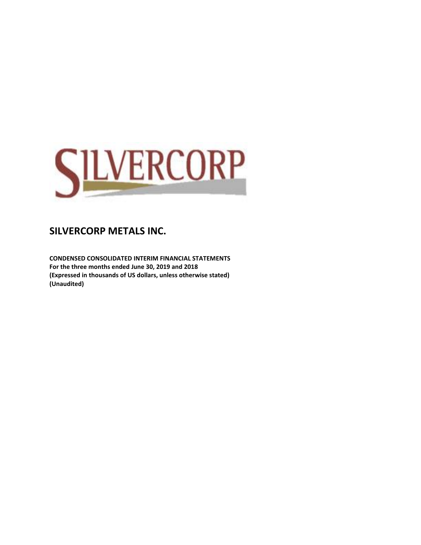

**CONDENSED CONSOLIDATED INTERIM FINANCIAL STATEMENTS For the three months ended June 30, 2019 and 2018 (Expressed in thousands of US dollars, unless otherwise stated) (Unaudited)**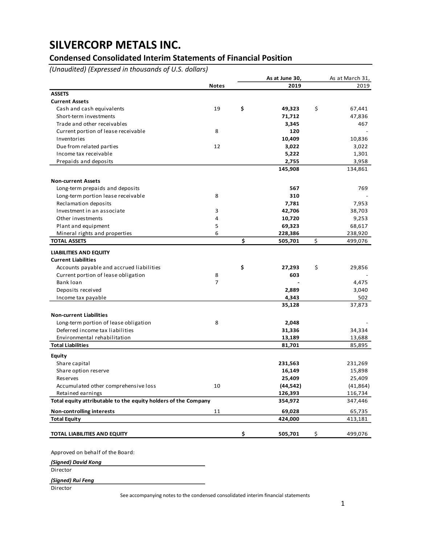## **Condensed Consolidated Interim Statements of Financial Position**

*(Unaudited) (Expressed in thousands of U.S. dollars)*

|                                                                |              | As at June 30, | As at March 31, |
|----------------------------------------------------------------|--------------|----------------|-----------------|
|                                                                | <b>Notes</b> | 2019           | 2019            |
| <b>ASSETS</b>                                                  |              |                |                 |
| <b>Current Assets</b>                                          |              |                |                 |
| Cash and cash equivalents                                      | 19           | \$<br>49,323   | \$<br>67,441    |
| Short-term investments                                         |              | 71,712         | 47,836          |
| Trade and other receivables                                    |              | 3,345          | 467             |
| Current portion of lease receivable                            | 8            | 120            |                 |
| Inventories                                                    |              | 10,409         | 10,836          |
| Due from related parties                                       | 12           | 3,022          | 3,022           |
| Income tax receivable                                          |              | 5,222          | 1,301           |
| Prepaids and deposits                                          |              | 2,755          | 3,958           |
|                                                                |              | 145,908        | 134,861         |
| <b>Non-current Assets</b>                                      |              |                |                 |
| Long-term prepaids and deposits                                |              | 567            | 769             |
| Long-term portion lease receivable                             | 8            | 310            |                 |
| Reclamation deposits                                           |              | 7,781          | 7,953           |
| Investment in an associate                                     | 3            | 42,706         | 38,703          |
| Other investments                                              | 4            | 10,720         | 9,253           |
| Plant and equipment                                            | 5            | 69,323         | 68,617          |
| Mineral rights and properties                                  | 6            | 228,386        | 238,920         |
| <b>TOTAL ASSETS</b>                                            |              | \$<br>505,701  | \$<br>499,076   |
| <b>LIABILITIES AND EQUITY</b>                                  |              |                |                 |
| <b>Current Liabilities</b>                                     |              |                |                 |
| Accounts payable and accrued liabilities                       |              | \$<br>27,293   | \$<br>29,856    |
| Current portion of lease obligation                            | 8            | 603            |                 |
| Bank loan                                                      | 7            |                | 4,475           |
| Deposits received                                              |              | 2,889          | 3,040           |
| Income tax payable                                             |              | 4,343          | 502             |
|                                                                |              | 35,128         | 37,873          |
| <b>Non-current Liabilities</b>                                 |              |                |                 |
| Long-term portion of lease obligation                          | 8            | 2,048          |                 |
| Deferred income tax liabilities                                |              | 31,336         | 34,334          |
| Environmental rehabilitation                                   |              | 13,189         | 13,688          |
| <b>Total Liabilities</b>                                       |              | 81,701         | 85,895          |
| Equity                                                         |              |                |                 |
| Share capital                                                  |              | 231,563        | 231,269         |
| Share option reserve                                           |              | 16,149         | 15,898          |
| Reserves                                                       |              | 25,409         | 25,409          |
| Accumulated other comprehensive loss                           | 10           | (44, 542)      | (41, 864)       |
| Retained earnings                                              |              | 126,393        | 116,734         |
| Total equity attributable to the equity holders of the Company |              | 354,972        | 347,446         |
| <b>Non-controlling interests</b>                               | 11           | 69,028         | 65,735          |
| <b>Total Equity</b>                                            |              | 424,000        | 413,181         |
|                                                                |              |                |                 |
| TOTAL LIABILITIES AND EQUITY                                   |              | \$<br>505,701  | \$<br>499,076   |
|                                                                |              |                |                 |

Approved on behalf of the Board:

*(Signed) David Kong*

**Director** 

*(Signed) Rui Feng*

Director

See accompanying notes to the condensed consolidated interim financial statements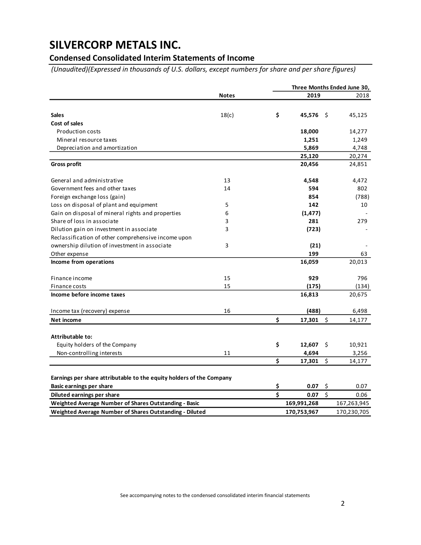## **Condensed Consolidated Interim Statements of Income**

*(Unaudited)(Expressed in thousands of U.S. dollars, except numbers for share and per share figures)*

|                                                                      |              |              |         | Three Months Ended June 30, |
|----------------------------------------------------------------------|--------------|--------------|---------|-----------------------------|
|                                                                      | <b>Notes</b> | \$<br>2019   |         | 2018                        |
|                                                                      |              |              |         |                             |
| <b>Sales</b>                                                         | 18(c)        | 45,576 \$    |         | 45,125                      |
| Cost of sales                                                        |              |              |         |                             |
| <b>Production costs</b>                                              |              | 18,000       |         | 14,277                      |
| Mineral resource taxes                                               |              | 1,251        |         | 1,249                       |
| Depreciation and amortization                                        |              | 5,869        |         | 4,748                       |
|                                                                      |              | 25,120       |         | 20,274                      |
| <b>Gross profit</b>                                                  |              | 20,456       |         | 24,851                      |
| General and administrative                                           | 13           | 4,548        |         | 4,472                       |
| Government fees and other taxes                                      | 14           | 594          |         | 802                         |
| Foreign exchange loss (gain)                                         |              | 854          |         | (788)                       |
| Loss on disposal of plant and equipment                              | 5            | 142          |         | 10                          |
| Gain on disposal of mineral rights and properties                    | 6            | (1, 477)     |         |                             |
| Share of loss in associate                                           | 3            | 281          |         | 279                         |
| Dilution gain on investment in associate                             | 3            | (723)        |         |                             |
| Reclassification of other comprehensive income upon                  |              |              |         |                             |
| ownership dilution of investment in associate                        | 3            | (21)         |         |                             |
| Other expense                                                        |              | 199          |         | 63                          |
| Income from operations                                               |              | 16,059       |         | 20,013                      |
| Finance income                                                       | 15           | 929          |         | 796                         |
| Finance costs                                                        | 15           | (175)        |         | (134)                       |
| Income before income taxes                                           |              | 16,813       |         | 20,675                      |
| Income tax (recovery) expense                                        | 16           | (488)        |         | 6,498                       |
| Net income                                                           |              | \$<br>17,301 | $\zeta$ | 14,177                      |
| Attributable to:                                                     |              |              |         |                             |
| Equity holders of the Company                                        |              | \$<br>12,607 | - \$    | 10,921                      |
| Non-controlling interests                                            | 11           | 4,694        |         | 3,256                       |
|                                                                      |              | \$<br>17,301 | \$      | 14,177                      |
| Earnings per share attributable to the equity holders of the Company |              |              |         |                             |
| <b>Basic earnings per share</b>                                      |              | \$<br>0.07   | $\zeta$ | 0.07                        |
| Diluted earnings per share                                           |              | \$<br>0.07   | \$      | 0.06                        |
| Weighted Average Number of Shares Outstanding - Basic                |              | 169,991,268  |         | 167,263,945                 |
| Weighted Average Number of Shares Outstanding - Diluted              |              | 170,753,967  |         | 170,230,705                 |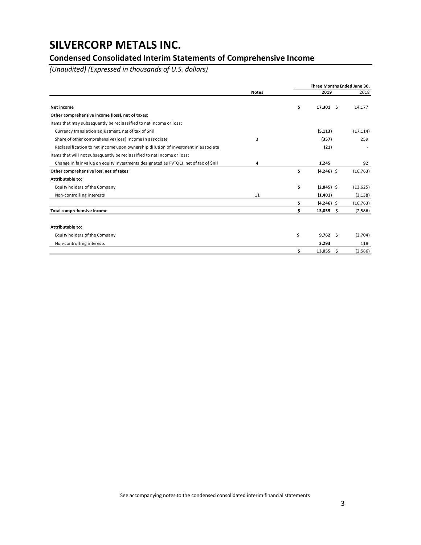## **Condensed Consolidated Interim Statements of Comprehensive Income**

*(Unaudited) (Expressed in thousands of U.S. dollars)*

|                                                                                      |              | Three Months Ended June 30, |           |
|--------------------------------------------------------------------------------------|--------------|-----------------------------|-----------|
|                                                                                      | <b>Notes</b> | 2019                        | 2018      |
| Net income                                                                           |              | \$<br>$17,301$ \$           | 14,177    |
| Other comprehensive income (loss), net of taxes:                                     |              |                             |           |
| Items that may subsequently be reclassified to net income or loss:                   |              |                             |           |
| Currency translation adjustment, net of tax of \$nil                                 |              | (5, 113)                    | (17, 114) |
| Share of other comprehensive (loss) income in associate                              | 3            | (357)                       | 259       |
| Reclassification to net income upon ownership dilution of investment in associate    |              | (21)                        |           |
| Items that will not subsequently be reclassified to net income or loss:              |              |                             |           |
| Change in fair value on equity investments designated as FVTOCI, net of tax of \$nil | 4            | 1,245                       | 92        |
| Other comprehensive loss, net of taxes                                               |              | \$<br>$(4,246)$ \$          | (16, 763) |
| Attributable to:                                                                     |              |                             |           |
| Equity holders of the Company                                                        |              | \$<br>$(2,845)$ \$          | (13, 625) |
| Non-controlling interests                                                            | 11           | (1,401)                     | (3, 138)  |
|                                                                                      |              | \$<br>$(4,246)$ \$          | (16, 763) |
| Total comprehensive income                                                           |              | \$<br>13,055<br>-\$         | (2,586)   |
|                                                                                      |              |                             |           |
| Attributable to:                                                                     |              |                             |           |
| Equity holders of the Company                                                        |              | \$<br>$9,762 \quad$         | (2,704)   |
| Non-controlling interests                                                            |              | 3,293                       | 118       |
|                                                                                      |              | \$<br>13,055<br>\$.         | (2,586)   |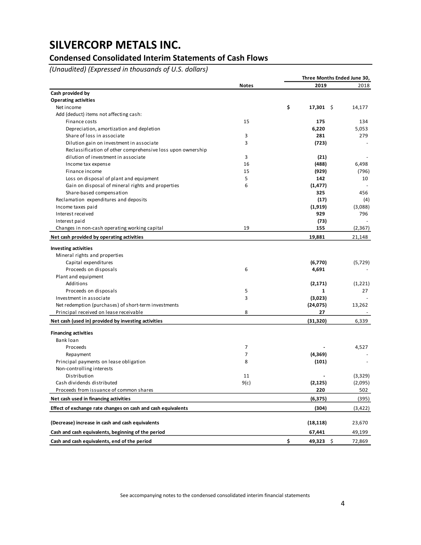## **Condensed Consolidated Interim Statements of Cash Flows**

*(Unaudited) (Expressed in thousands of U.S. dollars)*

|                                                                                  |              |    | Three Months Ended June 30, |              |  |  |
|----------------------------------------------------------------------------------|--------------|----|-----------------------------|--------------|--|--|
|                                                                                  | <b>Notes</b> |    | 2019                        | 2018         |  |  |
| Cash provided by                                                                 |              |    |                             |              |  |  |
| <b>Operating activities</b>                                                      |              |    |                             |              |  |  |
| Net income                                                                       |              | \$ | $17,301$ \$                 | 14,177       |  |  |
| Add (deduct) items not affecting cash:                                           |              |    |                             |              |  |  |
| Finance costs                                                                    | 15           |    | 175                         | 134          |  |  |
| Depreciation, amortization and depletion                                         |              |    | 6,220                       | 5,053        |  |  |
| Share of loss in associate                                                       | 3            |    | 281                         | 279          |  |  |
| Dilution gain on investment in associate                                         | 3            |    | (723)                       |              |  |  |
| Reclassification of other comprehensive loss upon ownership                      |              |    |                             |              |  |  |
| dilution of investment in associate                                              | 3            |    | (21)                        |              |  |  |
| Income tax expense                                                               | 16           |    | (488)                       | 6,498        |  |  |
| Finance income                                                                   | 15           |    | (929)                       | (796)        |  |  |
| Loss on disposal of plant and equipment                                          | 5            |    | 142                         | 10           |  |  |
| Gain on disposal of mineral rights and properties                                | 6            |    | (1, 477)                    |              |  |  |
| Share-based compensation                                                         |              |    | 325                         | 456          |  |  |
| Reclamation expenditures and deposits                                            |              |    | (17)                        | (4)          |  |  |
| Income taxes paid                                                                |              |    | (1,919)                     | (3,088)      |  |  |
| Interest received                                                                |              |    | 929                         | 796          |  |  |
| Interest paid                                                                    |              |    | (73)                        |              |  |  |
| Changes in non-cash operating working capital                                    | 19           |    | 155                         | (2, 367)     |  |  |
| Net cash provided by operating activities                                        |              |    | 19,881                      | 21,148       |  |  |
| <b>Investing activities</b>                                                      |              |    |                             |              |  |  |
| Mineral rights and properties                                                    |              |    |                             |              |  |  |
| Capital expenditures                                                             |              |    | (6,770)                     | (5, 729)     |  |  |
| Proceeds on disposals                                                            | 6            |    | 4,691                       |              |  |  |
| Plant and equipment                                                              |              |    |                             |              |  |  |
| Additions                                                                        |              |    | (2, 171)                    | (1,221)      |  |  |
| Proceeds on disposals                                                            | 5            |    | $\mathbf{1}$                | 27           |  |  |
| Investment in associate                                                          | 3            |    | (3,023)                     |              |  |  |
| Net redemption (purchases) of short-term investments                             |              |    | (24, 075)                   | 13,262       |  |  |
| Principal received on lease receivable                                           | 8            |    | 27                          |              |  |  |
| Net cash (used in) provided by investing activities                              |              |    | (31, 320)                   | 6,339        |  |  |
|                                                                                  |              |    |                             |              |  |  |
| <b>Financing activities</b><br>Bank loan                                         |              |    |                             |              |  |  |
|                                                                                  | 7            |    |                             |              |  |  |
| Proceeds                                                                         |              |    |                             | 4,527        |  |  |
| Repayment                                                                        | 7<br>8       |    | (4, 369)                    |              |  |  |
| Principal payments on lease obligation                                           |              |    | (101)                       |              |  |  |
| Non-controlling interests                                                        |              |    |                             |              |  |  |
| Distribution                                                                     | 11           |    |                             | (3,329)      |  |  |
| Cash dividends distributed                                                       | 9(c)         |    | (2, 125)                    | (2,095)      |  |  |
| Proceeds from issuance of common shares<br>Net cash used in financing activities |              |    | 220<br>(6, 375)             | 502<br>(395) |  |  |
|                                                                                  |              |    |                             |              |  |  |
| Effect of exchange rate changes on cash and cash equivalents                     |              |    | (304)                       | (3,422)      |  |  |
| (Decrease) increase in cash and cash equivalents                                 |              |    | (18, 118)                   | 23,670       |  |  |
| Cash and cash equivalents, beginning of the period                               |              |    | 67,441                      | 49,199       |  |  |
| Cash and cash equivalents, end of the period                                     |              | \$ | 49,323 \$                   | 72,869       |  |  |

See accompanying notes to the condensed consolidated interim financial statements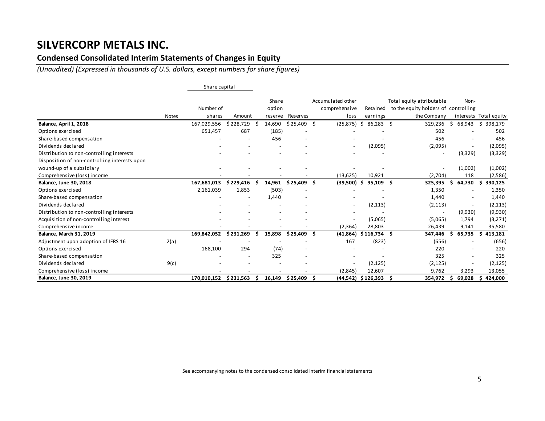### **Condensed Consolidated Interim Statements of Changes in Equity**

*(Unaudited) (Expressed in thousands of U.S. dollars, except numbers for share figures)*

|                                               |              | Share capital       |           |                            |          |     |                                            |                      |    |                                                                                  |     |                          |                        |
|-----------------------------------------------|--------------|---------------------|-----------|----------------------------|----------|-----|--------------------------------------------|----------------------|----|----------------------------------------------------------------------------------|-----|--------------------------|------------------------|
|                                               | <b>Notes</b> | Number of<br>shares | Amount    | Share<br>option<br>reserve | Reserves |     | Accumulated other<br>comprehensive<br>loss | Retained<br>earnings |    | Total equity attributable<br>to the equity holders of controlling<br>the Company |     | Non-                     | interests Total equity |
| Balance, April 1, 2018                        |              | 167,029,556         | \$228,729 | 14,690                     | \$25,409 | Ŝ.  | (25, 875)                                  | 86,283<br>\$         | Ŝ. | 329,236                                                                          | Ŝ.  | 68,943                   | \$398,179              |
| Options exercised                             |              | 651,457             | 687       | (185)                      |          |     |                                            |                      |    | 502                                                                              |     |                          | 502                    |
| Share-based compensation                      |              |                     |           | 456                        |          |     |                                            |                      |    | 456                                                                              |     |                          | 456                    |
| Dividends declared                            |              |                     |           |                            |          |     | $\overline{\phantom{a}}$                   | (2,095)              |    | (2,095)                                                                          |     | $\overline{\phantom{a}}$ | (2,095)                |
| Distribution to non-controlling interests     |              |                     |           |                            |          |     |                                            |                      |    | $\overline{\phantom{a}}$                                                         |     | (3,329)                  | (3,329)                |
| Disposition of non-controlling interests upon |              |                     |           |                            |          |     |                                            |                      |    |                                                                                  |     |                          |                        |
| wound-up of a subsidiary                      |              |                     |           |                            |          |     |                                            |                      |    | $\overline{\phantom{a}}$                                                         |     | (1,002)                  | (1,002)                |
| Comprehensive (loss) income                   |              |                     |           |                            |          |     | (13, 625)                                  | 10,921               |    | (2,704)                                                                          |     | 118                      | (2,586)                |
| <b>Balance, June 30, 2018</b>                 |              | 167,681,013         | \$229,416 | 14,961                     | \$25,409 | .S  | (39,500)                                   | $95,109$ \$<br>-S    |    | 325,395                                                                          | ς   | 64,730                   | 390,125                |
| Options exercised                             |              | 2,161,039           | 1,853     | (503)                      |          |     |                                            |                      |    | 1,350                                                                            |     |                          | 1,350                  |
| Share-based compensation                      |              |                     |           | 1,440                      |          |     |                                            |                      |    | 1,440                                                                            |     |                          | 1,440                  |
| Dividends declared                            |              |                     |           |                            |          |     | $\overline{\phantom{a}}$                   | (2, 113)             |    | (2, 113)                                                                         |     |                          | (2, 113)               |
| Distribution to non-controlling interests     |              |                     |           |                            |          |     |                                            |                      |    | $\overline{\phantom{a}}$                                                         |     | (9,930)                  | (9,930)                |
| Acquisition of non-controlling interest       |              |                     |           |                            |          |     | $\overline{\phantom{a}}$                   | (5,065)              |    | (5,065)                                                                          |     | 1,794                    | (3,271)                |
| Comprehensive income                          |              |                     |           |                            |          |     | (2, 364)                                   | 28,803               |    | 26,439                                                                           |     | 9,141                    | 35,580                 |
| <b>Balance, March 31, 2019</b>                |              | 169,842,052         | \$231,269 | 15,898                     | \$25,409 | - Ś | (41, 864)                                  | $$116,734$ \$        |    | 347,446                                                                          |     | 65,735                   | 413,181<br>S           |
| Adjustment upon adoption of IFRS 16           | 2(a)         |                     |           |                            |          |     | 167                                        | (823)                |    | (656)                                                                            |     |                          | (656)                  |
| Options exercised                             |              | 168,100             | 294       | (74)                       |          |     |                                            |                      |    | 220                                                                              |     |                          | 220                    |
| Share-based compensation                      |              |                     |           | 325                        |          |     |                                            |                      |    | 325                                                                              |     |                          | 325                    |
| Dividends declared                            | 9(c)         |                     |           |                            |          |     | $\overline{\phantom{a}}$                   | (2, 125)             |    | (2, 125)                                                                         |     |                          | (2, 125)               |
| Comprehensive (loss) income                   |              |                     |           |                            |          |     | (2,845)                                    | 12,607               |    | 9,762                                                                            |     | 3,293                    | 13,055                 |
| <b>Balance, June 30, 2019</b>                 |              | 170,010,152         | \$231,563 | 16,149                     | \$25,409 | . Ś |                                            | $(44,542)$ \$126,393 | S  | 354,972                                                                          | \$. | 69,028                   | \$424,000              |

See accompanying notes to the condensed consolidated interim financial statements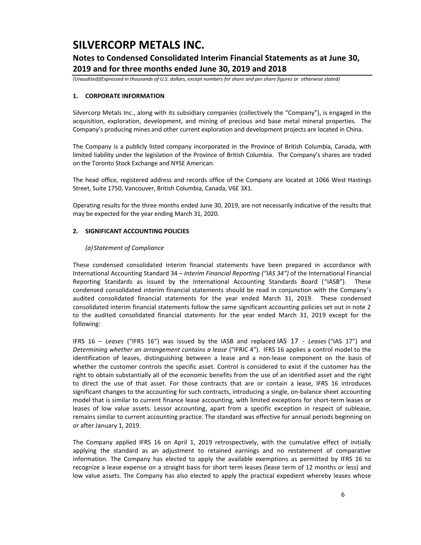## **Notes to Condensed Consolidated Interim Financial Statements as at June 30, 2019 and for three months ended June 30, 2019 and 2018**

*(Unaudited)(Expressed in thousands of U.S. dollars, except numbers for share and per share figures or otherwise stated)*

### **1. CORPORATE INFORMATION**

Silvercorp Metals Inc., along with its subsidiary companies (collectively the "Company"), is engaged in the acquisition, exploration, development, and mining of precious and base metal mineral properties. The Company's producing mines and other current exploration and development projects are located in China.

The Company is a publicly listed company incorporated in the Province of British Columbia, Canada, with limited liability under the legislation of the Province of British Columbia. The Company's shares are traded on the Toronto Stock Exchange and NYSE American.

The head office, registered address and records office of the Company are located at 1066 West Hastings Street, Suite 1750, Vancouver, British Columbia, Canada, V6E 3X1.

Operating results for the three months ended June 30, 2019, are not necessarily indicative of the results that may be expected for the year ending March 31, 2020.

### **2. SIGNIFICANT ACCOUNTING POLICIES**

#### *(a) Statement of Compliance*

These condensed consolidated interim financial statements have been prepared in accordance with International Accounting Standard 34 – *Interim Financial Reporting ("IAS 34")* of the International Financial Reporting Standards as issued by the International Accounting Standards Board ("IASB"). These condensed consolidated interim financial statements should be read in conjunction with the Company's audited consolidated financial statements for the year ended March 31, 2019. These condensed consolidated interim financial statements follow the same significant accounting policies set out in note 2 to the audited consolidated financial statements for the year ended March 31, 2019 except for the following:

IFRS 16 – *Leases* ("IFRS 16") was issued by the IASB and replaced IAS 17 - *Leases* ("IAS 17") and *Determining whether an arrangement contains a lease* ("IFRIC 4"). IFRS 16 applies a control model to the identification of leases, distinguishing between a lease and a non-lease component on the basis of whether the customer controls the specific asset. Control is considered to exist if the customer has the right to obtain substantially all of the economic benefits from the use of an identified asset and the right to direct the use of that asset. For those contracts that are or contain a lease, IFRS 16 introduces significant changes to the accounting for such contracts, introducing a single, on-balance sheet accounting model that is similar to current finance lease accounting, with limited exceptions for short-term leases or leases of low value assets. Lessor accounting, apart from a specific exception in respect of sublease, remains similar to current accounting practice. The standard was effective for annual periods beginning on or after January 1, 2019.

The Company applied IFRS 16 on April 1, 2019 retrospectively, with the cumulative effect of initially applying the standard as an adjustment to retained earnings and no restatement of comparative information. The Company has elected to apply the available exemptions as permitted by IFRS 16 to recognize a lease expense on a straight basis for short term leases (lease term of 12 months or less) and low value assets. The Company has also elected to apply the practical expedient whereby leases whose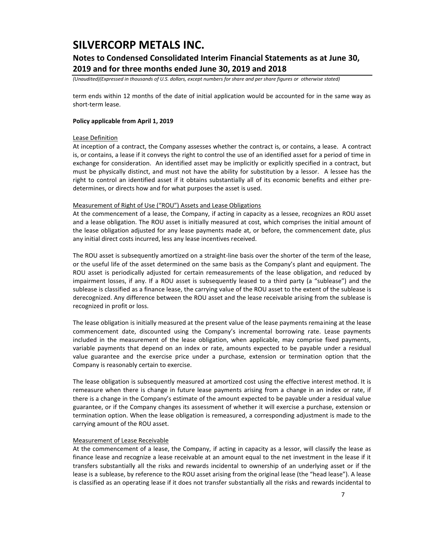## **Notes to Condensed Consolidated Interim Financial Statements as at June 30, 2019 and for three months ended June 30, 2019 and 2018**

*(Unaudited)(Expressed in thousands of U.S. dollars, except numbers for share and per share figures or otherwise stated)*

term ends within 12 months of the date of initial application would be accounted for in the same way as short-term lease.

#### **Policy applicable from April 1, 2019**

### Lease Definition

At inception of a contract, the Company assesses whether the contract is, or contains, a lease. A contract is, or contains, a lease if it conveys the right to control the use of an identified asset for a period of time in exchange for consideration. An identified asset may be implicitly or explicitly specified in a contract, but must be physically distinct, and must not have the ability for substitution by a lessor. A lessee has the right to control an identified asset if it obtains substantially all of its economic benefits and either predetermines, or directs how and for what purposes the asset is used.

#### Measurement of Right of Use ("ROU") Assets and Lease Obligations

At the commencement of a lease, the Company, if acting in capacity as a lessee, recognizes an ROU asset and a lease obligation. The ROU asset is initially measured at cost, which comprises the initial amount of the lease obligation adjusted for any lease payments made at, or before, the commencement date, plus any initial direct costs incurred, less any lease incentives received.

The ROU asset is subsequently amortized on a straight-line basis over the shorter of the term of the lease, or the useful life of the asset determined on the same basis as the Company's plant and equipment. The ROU asset is periodically adjusted for certain remeasurements of the lease obligation, and reduced by impairment losses, if any. If a ROU asset is subsequently leased to a third party (a "sublease") and the sublease is classified as a finance lease, the carrying value of the ROU asset to the extent of the sublease is derecognized. Any difference between the ROU asset and the lease receivable arising from the sublease is recognized in profit or loss.

The lease obligation is initially measured at the present value of the lease payments remaining at the lease commencement date, discounted using the Company's incremental borrowing rate. Lease payments included in the measurement of the lease obligation, when applicable, may comprise fixed payments, variable payments that depend on an index or rate, amounts expected to be payable under a residual value guarantee and the exercise price under a purchase, extension or termination option that the Company is reasonably certain to exercise.

The lease obligation is subsequently measured at amortized cost using the effective interest method. It is remeasure when there is change in future lease payments arising from a change in an index or rate, if there is a change in the Company's estimate of the amount expected to be payable under a residual value guarantee, or if the Company changes its assessment of whether it will exercise a purchase, extension or termination option. When the lease obligation is remeasured, a corresponding adjustment is made to the carrying amount of the ROU asset.

#### Measurement of Lease Receivable

At the commencement of a lease, the Company, if acting in capacity as a lessor, will classify the lease as finance lease and recognize a lease receivable at an amount equal to the net investment in the lease if it transfers substantially all the risks and rewards incidental to ownership of an underlying asset or if the lease is a sublease, by reference to the ROU asset arising from the original lease (the "head lease"). A lease is classified as an operating lease if it does not transfer substantially all the risks and rewards incidental to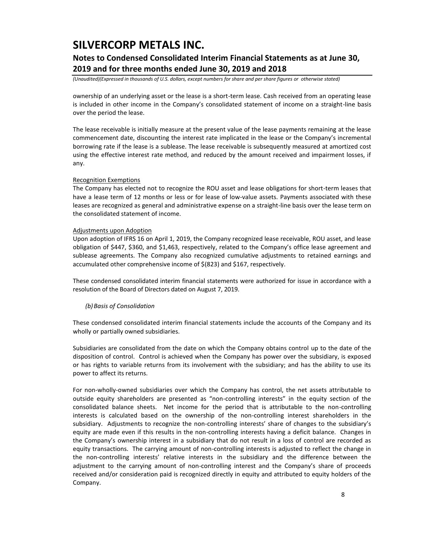## **Notes to Condensed Consolidated Interim Financial Statements as at June 30, 2019 and for three months ended June 30, 2019 and 2018**

*(Unaudited)(Expressed in thousands of U.S. dollars, except numbers for share and per share figures or otherwise stated)*

ownership of an underlying asset or the lease is a short-term lease. Cash received from an operating lease is included in other income in the Company's consolidated statement of income on a straight-line basis over the period the lease.

The lease receivable is initially measure at the present value of the lease payments remaining at the lease commencement date, discounting the interest rate implicated in the lease or the Company's incremental borrowing rate if the lease is a sublease. The lease receivable is subsequently measured at amortized cost using the effective interest rate method, and reduced by the amount received and impairment losses, if any.

### Recognition Exemptions

The Company has elected not to recognize the ROU asset and lease obligations for short-term leases that have a lease term of 12 months or less or for lease of low-value assets. Payments associated with these leases are recognized as general and administrative expense on a straight-line basis over the lease term on the consolidated statement of income.

### Adjustments upon Adoption

Upon adoption of IFRS 16 on April 1, 2019, the Company recognized lease receivable, ROU asset, and lease obligation of \$447, \$360, and \$1,463, respectively, related to the Company's office lease agreement and sublease agreements. The Company also recognized cumulative adjustments to retained earnings and accumulated other comprehensive income of \$(823) and \$167, respectively.

These condensed consolidated interim financial statements were authorized for issue in accordance with a resolution of the Board of Directors dated on August 7, 2019.

### *(b)Basis of Consolidation*

These condensed consolidated interim financial statements include the accounts of the Company and its wholly or partially owned subsidiaries.

Subsidiaries are consolidated from the date on which the Company obtains control up to the date of the disposition of control. Control is achieved when the Company has power over the subsidiary, is exposed or has rights to variable returns from its involvement with the subsidiary; and has the ability to use its power to affect its returns.

For non-wholly-owned subsidiaries over which the Company has control, the net assets attributable to outside equity shareholders are presented as "non-controlling interests" in the equity section of the consolidated balance sheets. Net income for the period that is attributable to the non-controlling interests is calculated based on the ownership of the non-controlling interest shareholders in the subsidiary. Adjustments to recognize the non-controlling interests' share of changes to the subsidiary's equity are made even if this results in the non-controlling interests having a deficit balance. Changes in the Company's ownership interest in a subsidiary that do not result in a loss of control are recorded as equity transactions. The carrying amount of non-controlling interests is adjusted to reflect the change in the non-controlling interests' relative interests in the subsidiary and the difference between the adjustment to the carrying amount of non-controlling interest and the Company's share of proceeds received and/or consideration paid is recognized directly in equity and attributed to equity holders of the Company.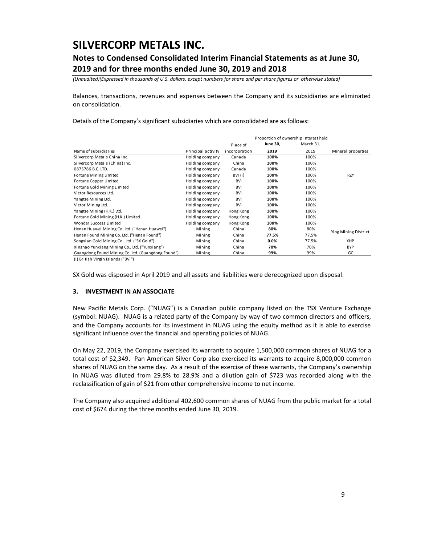## **Notes to Condensed Consolidated Interim Financial Statements as at June 30, 2019 and for three months ended June 30, 2019 and 2018**

*(Unaudited)(Expressed in thousands of U.S. dollars, except numbers for share and per share figures or otherwise stated)*

Balances, transactions, revenues and expenses between the Company and its subsidiaries are eliminated on consolidation.

Details of the Company's significant subsidiaries which are consolidated are as follows:

|                                                                                                                      |                    |               |          | Proportion of ownership interest held |                      |
|----------------------------------------------------------------------------------------------------------------------|--------------------|---------------|----------|---------------------------------------|----------------------|
|                                                                                                                      |                    | Place of      | June 30, | March 31,                             |                      |
| Name of subsidiaries                                                                                                 | Principal activity | incorporation | 2019     | 2019                                  | Mineral properties   |
| Silvercorp Metals China Inc.                                                                                         | Holding company    | Canada        | 100%     | 100%                                  |                      |
| Silvercorp Metals (China) Inc.                                                                                       | Holding company    | China         | 100%     | 100%                                  |                      |
| 0875786 B.C. LTD.                                                                                                    | Holding company    | Canada        | 100%     | 100%                                  |                      |
| Fortune Mining Limited                                                                                               | Holding company    | BVI (i)       | 100%     | 100%                                  | <b>RZY</b>           |
| Fortune Copper Limited                                                                                               | Holding company    | BVI           | 100%     | 100%                                  |                      |
| Fortune Gold Mining Limited                                                                                          | Holding company    | BVI           | 100%     | 100%                                  |                      |
| Victor Resources Ltd.                                                                                                | Holding company    | BVI           | 100%     | 100%                                  |                      |
| Yangtze Mining Ltd.                                                                                                  | Holding company    | <b>BVI</b>    | 100%     | 100%                                  |                      |
| Victor Mining Ltd.                                                                                                   | Holding company    | <b>BVI</b>    | 100%     | 100%                                  |                      |
| Yangtze Mining (H.K.) Ltd.                                                                                           | Holding company    | Hong Kong     | 100%     | 100%                                  |                      |
| Fortune Gold Mining (H.K.) Limited                                                                                   | Holding company    | Hong Kong     | 100%     | 100%                                  |                      |
| Wonder Success Limited                                                                                               | Holding company    | Hong Kong     | 100%     | 100%                                  |                      |
| Henan Huawei Mining Co. Ltd. ("Henan Huawei")                                                                        | Mining             | China         | 80%      | 80%                                   |                      |
| Henan Found Mining Co. Ltd. ("Henan Found")                                                                          | Mining             | China         | 77.5%    | 77.5%                                 | Ying Mining District |
| Songxian Gold Mining Co., Ltd. ("SX Gold")                                                                           | Mining             | China         | 0.0%     | 77.5%                                 | XHP                  |
| Xinshao Yunxiang Mining Co., Ltd. ("Yunxiang")                                                                       | Mining             | China         | 70%      | 70%                                   | <b>BYP</b>           |
| Guangdong Found Mining Co. Ltd. (Guangdong Found")<br>$\cdots$ $\cdots$ $\cdots$ $\cdots$ $\cdots$ $\cdots$ $\cdots$ | Mining             | China         | 99%      | 99%                                   | GC                   |

(i) British Virgin Islands ("BVI")

SX Gold was disposed in April 2019 and all assets and liabilities were derecognized upon disposal.

### **3. INVESTMENT IN AN ASSOCIATE**

New Pacific Metals Corp. ("NUAG") is a Canadian public company listed on the TSX Venture Exchange (symbol: NUAG). NUAG is a related party of the Company by way of two common directors and officers, and the Company accounts for its investment in NUAG using the equity method as it is able to exercise significant influence over the financial and operating policies of NUAG.

On May 22, 2019, the Company exercised its warrants to acquire 1,500,000 common shares of NUAG for a total cost of \$2,349. Pan American Silver Corp also exercised its warrants to acquire 8,000,000 common shares of NUAG on the same day. As a result of the exercise of these warrants, the Company's ownership in NUAG was diluted from 29.8% to 28.9% and a dilution gain of \$723 was recorded along with the reclassification of gain of \$21 from other comprehensive income to net income.

The Company also acquired additional 402,600 common shares of NUAG from the public market for a total cost of \$674 during the three months ended June 30, 2019.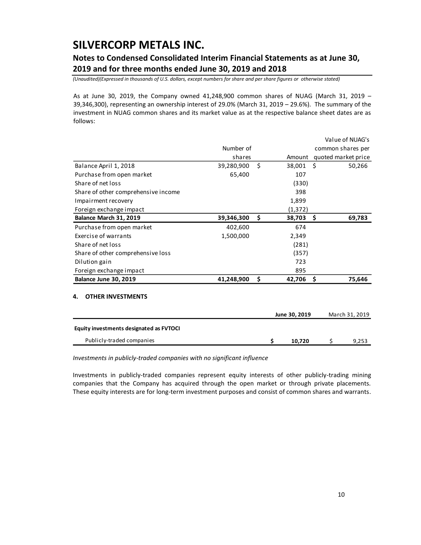## **Notes to Condensed Consolidated Interim Financial Statements as at June 30, 2019 and for three months ended June 30, 2019 and 2018**

*(Unaudited)(Expressed in thousands of U.S. dollars, except numbers for share and per share figures or otherwise stated)*

As at June 30, 2019, the Company owned 41,248,900 common shares of NUAG (March 31, 2019 – 39,346,300), representing an ownership interest of 29.0% (March 31, 2019 – 29.6%). The summary of the investment in NUAG common shares and its market value as at the respective balance sheet dates are as follows:

|                                         |            |               |     | Value of NUAG's     |
|-----------------------------------------|------------|---------------|-----|---------------------|
|                                         | Number of  |               |     | common shares per   |
|                                         | shares     | Amount        |     | quoted market price |
| Balance April 1, 2018                   | 39,280,900 | \$<br>38,001  | Ŝ.  | 50,266              |
| Purchase from open market               | 65,400     | 107           |     |                     |
| Share of net loss                       |            | (330)         |     |                     |
| Share of other comprehensive income     |            | 398           |     |                     |
| Impairment recovery                     |            | 1,899         |     |                     |
| Foreign exchange impact                 |            | (1, 372)      |     |                     |
| Balance March 31, 2019                  | 39,346,300 | \$<br>38,703  | Ŝ.  | 69,783              |
| Purchase from open market               | 402,600    | 674           |     |                     |
| Exercise of warrants                    | 1,500,000  | 2,349         |     |                     |
| Share of net loss                       |            | (281)         |     |                     |
| Share of other comprehensive loss       |            | (357)         |     |                     |
| Dilution gain                           |            | 723           |     |                     |
| Foreign exchange impact                 |            | 895           |     |                     |
| Balance June 30, 2019                   | 41,248,900 | \$<br>42,706  | -\$ | 75,646              |
| <b>OTHER INVESTMENTS</b><br>4.          |            |               |     |                     |
|                                         |            | June 30, 2019 |     | March 31, 2019      |
| Equity investments designated as FVTOCI |            |               |     |                     |

*Investments in publicly-traded companies with no significant influence*

Investments in publicly-traded companies represent equity interests of other publicly-trading mining companies that the Company has acquired through the open market or through private placements. These equity interests are for long-term investment purposes and consist of common shares and warrants.

Publicly-traded companies **\$ 10,720** \$ 9,253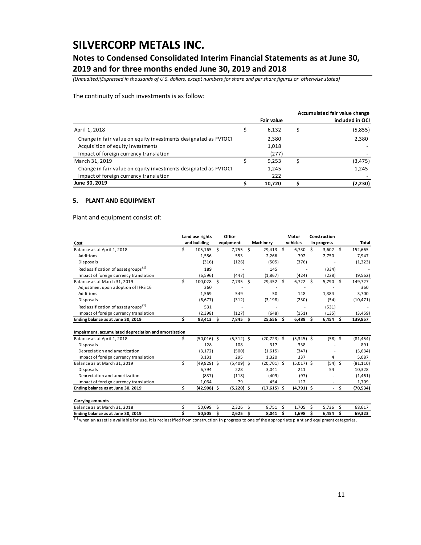### **Notes to Condensed Consolidated Interim Financial Statements as at June 30, 2019 and for three months ended June 30, 2019 and 2018**

*(Unaudited)(Expressed in thousands of U.S. dollars, except numbers for share and per share figures or otherwise stated)*

The continuity of such investments is as follow:

|                                                                 |            | Accumulated fair value change |
|-----------------------------------------------------------------|------------|-------------------------------|
|                                                                 | Fair value | included in OCI               |
| April 1, 2018                                                   | 6,132      | (5,855)                       |
| Change in fair value on equity investments designated as FVTOCI | 2,380      | 2,380                         |
| Acquisition of equity investments                               | 1,018      |                               |
| Impact of foreign currency translation                          | (277)      |                               |
| March 31, 2019                                                  | 9.253      | (3, 475)                      |
| Change in fair value on equity investments designated as FVTOCI | 1,245      | 1,245                         |
| Impact of foreign currency translation                          | 222        |                               |
| June 30, 2019                                                   | 10,720     | (2,230)                       |

### **5. PLANT AND EQUIPMENT**

Plant and equipment consist of:

|                                                       |     | Land use rights |   | Office       |    |                |    | Motor        |    | Construction |      |              |
|-------------------------------------------------------|-----|-----------------|---|--------------|----|----------------|----|--------------|----|--------------|------|--------------|
| Cost                                                  |     | and building    |   | equipment    |    | Machinery      |    | vehicles     |    | in progress  |      | <b>Total</b> |
| Balance as at April 1, 2018                           | Ś.  | 105,165         | Ś | 7,755        | Ś. | 29,413         | s. | 6,730        | Ŝ. | $3,602$ \$   |      | 152,665      |
| Additions                                             |     | 1,586           |   | 553          |    | 2,266          |    | 792          |    | 2,750        |      | 7,947        |
| Disposals                                             |     | (316)           |   | (126)        |    | (505)          |    | (376)        |    |              |      | (1, 323)     |
| Reclassification of asset groups <sup>(1)</sup>       |     | 189             |   |              |    | 145            |    |              |    | (334)        |      |              |
| Impact of foreign currency translation                |     | (6, 596)        |   | (447)        |    | (1,867)        |    | (424)        |    | (228)        |      | (9, 562)     |
| Balance as at March 31, 2019                          | \$. | 100,028 \$      |   | 7,735 \$     |    | 29,452 \$      |    | $6,722$ \$   |    | $5,790$ \$   |      | 149,727      |
| Adjustment upon adoption of IFRS 16                   |     | 360             |   |              |    |                |    |              |    |              |      | 360          |
| Additions                                             |     | 1,569           |   | 549          |    | 50             |    | 148          |    | 1,384        |      | 3,700        |
| Disposals                                             |     | (6,677)         |   | (312)        |    | (3, 198)       |    | (230)        |    | (54)         |      | (10, 471)    |
| Reclassification of asset groups <sup>(1)</sup>       |     | 531             |   |              |    |                |    |              |    | (531)        |      |              |
| Impact of foreign currency translation                |     | (2, 398)        |   | (127)        |    | (648)          |    | (151)        |    | (135)        |      | (3, 459)     |
| Ending balance as at June 30, 2019                    | \$  | $93,413$ \$     |   | 7,845 \$     |    | $25,656$ \$    |    | $6,489$ \$   |    | $6,454$ \$   |      | 139,857      |
| Impairment, accumulated depreciation and amortization |     |                 |   |              |    |                |    |              |    |              |      |              |
| Balance as at April 1, 2018                           | Ś.  | $(50,016)$ \$   |   | $(5,312)$ \$ |    | $(20, 723)$ \$ |    | $(5,345)$ \$ |    | $(58)$ \$    |      | (81, 454)    |
| Disposals                                             |     | 128             |   | 108          |    | 317            |    | 338          |    |              |      | 891          |
| Depreciation and amortization                         |     | (3, 172)        |   | (500)        |    | (1,615)        |    | (347)        |    |              |      | (5,634)      |
| Impact of foreign currency translation                |     | 3,131           |   | 295          |    | 1,320          |    | 337          |    | 4            |      | 5,087        |
| Balance as at March 31, 2019                          | \$  | $(49,929)$ \$   |   | $(5,409)$ \$ |    | $(20,701)$ \$  |    | $(5,017)$ \$ |    | $(54)$ \$    |      | (81, 110)    |
| Disposals                                             |     | 6,794           |   | 228          |    | 3,041          |    | 211          |    | 54           |      | 10,328       |
| Depreciation and amortization                         |     | (837)           |   | (118)        |    | (409)          |    | (97)         |    |              |      | (1,461)      |
| Impact of foreign currency translation                |     | 1,064           |   | 79           |    | 454            |    | 112          |    |              |      | 1,709        |
| Ending balance as at June 30, 2019                    | \$  | $(42,908)$ \$   |   | $(5,220)$ \$ |    | $(17,615)$ \$  |    | $(4,791)$ \$ |    |              | - \$ | (70, 534)    |
| <b>Carrying amounts</b>                               |     |                 |   |              |    |                |    |              |    |              |      |              |
| Balance as at March 31, 2018                          | \$  | 50,099          | Ś | 2,326        | Ś  | 8,751          | Ŝ  | 1,705        | Ś  | 5,736        | Ŝ    | 68,617       |
| Ending balance as at June 30, 2019                    | Ś   | 50,505          | Ś | 2,625        | \$ | 8,041          | \$ | 1,698        | \$ | 6,454        | \$   | 69,323       |

 $^{(1)}$  when an asset is available for use, it is reclassified from construction in progress to one of the appropriate plant and equipment categories.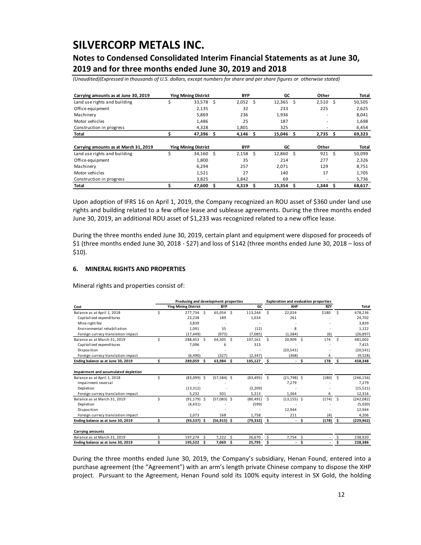## **Notes to Condensed Consolidated Interim Financial Statements as at June 30, 2019 and for three months ended June 30, 2019 and 2018**

*(Unaudited)(Expressed in thousands of U.S. dollars, except numbers for share and per share figures or otherwise stated)*

| Carrying amounts as at June 30, 2019  |    | <b>Ying Mining District</b> |    | <b>BYP</b> |    | GC     |     | Other |    | Total  |
|---------------------------------------|----|-----------------------------|----|------------|----|--------|-----|-------|----|--------|
| Land use rights and building          | \$ | 33,578                      | Ŝ  | 2,052      | Ŝ. | 12,365 | Ŝ.  | 2,510 | Ŝ. | 50,505 |
| Office equipment                      |    | 2,135                       |    | 32         |    | 233    |     | 225   |    | 2,625  |
| Machinery                             |    | 5,869                       |    | 236        |    | 1,936  |     |       |    | 8,041  |
| Motor vehicles                        |    | 1.486                       |    | 25         |    | 187    |     |       |    | 1,698  |
| Construction in progress              |    | 4,328                       |    | 1,801      |    | 325    |     |       |    | 6,454  |
| Total                                 |    | 47,396                      | S  | 4,146      | S  | 15,046 | S   | 2,735 | \$ | 69,323 |
|                                       |    |                             |    |            |    |        |     |       |    |        |
| Carrying amounts as at March 31, 2019 |    | <b>Ying Mining District</b> |    | <b>BYP</b> |    | GC     |     | Other |    | Total  |
| Land use rights and building          | Ś  | 34,160                      | Ŝ  | 2,158      | Ŝ. | 12.860 | Ŝ   | 921   | Ś  | 50,099 |
| Office equipment                      |    | 1,800                       |    | 35         |    | 214    |     | 277   |    | 2,326  |
| Machinery                             |    | 6.294                       |    | 257        |    | 2,071  |     | 129   |    | 8,751  |
| Motor vehicles                        |    | 1,521                       |    | 27         |    | 140    |     | 17    |    | 1,705  |
| Construction in progress              |    | 3,825                       |    | 1.842      |    | 69     |     |       |    | 5,736  |
| Total                                 |    | 47,600                      | \$ | 4,319      | Ŝ  | 15,354 | \$. | 1,344 | \$ | 68,617 |

### **6. MINERAL RIGHTS AND PROPERTIES**

| Land use rights and building                                                                                                                                                                              |                                      |                  | BYP        |                  | GC      |                | Other                                        |         |                    |
|-----------------------------------------------------------------------------------------------------------------------------------------------------------------------------------------------------------|--------------------------------------|------------------|------------|------------------|---------|----------------|----------------------------------------------|---------|--------------------|
|                                                                                                                                                                                                           | \$<br>33,578                         | -\$              | 2,052      | \$               | 12,365  | \$.            | 2,510                                        | \$      | 50,505             |
| Office equipment                                                                                                                                                                                          | 2,135                                |                  | 32         |                  | 233     |                | 225                                          |         | 2,625              |
| Machinery                                                                                                                                                                                                 | 5,869                                |                  | 236        |                  | 1,936   |                |                                              |         | 8,041              |
| Motor vehicles                                                                                                                                                                                            | 1,486                                |                  | 25         |                  | 187     |                |                                              |         | 1,698              |
| Construction in progress                                                                                                                                                                                  | 4,328                                |                  | 1,801      |                  | 325     |                |                                              |         | 6,454              |
| Total                                                                                                                                                                                                     | \$<br>47,396                         | \$               | 4,146      | \$               | 15,046  | \$             | 2,735                                        | \$      | 69,323             |
| Carrying amounts as at March 31, 2019                                                                                                                                                                     | <b>Ying Mining District</b>          |                  | <b>BYP</b> |                  | GC      |                | Other                                        |         | Total              |
| Land use rights and building                                                                                                                                                                              | \$<br>34,160                         | \$               | 2,158      | \$               | 12,860  | \$             | 921                                          | \$      | 50,099             |
| Office equipment                                                                                                                                                                                          | 1,800                                |                  | 35         |                  | 214     |                | 277                                          |         | 2,326              |
| Machinery                                                                                                                                                                                                 | 6,294                                |                  | 257        |                  | 2,071   |                | 129                                          |         | 8,751              |
| Motor vehicles                                                                                                                                                                                            | 1,521                                |                  | 27         |                  | 140     |                | 17                                           |         | 1,705              |
| Construction in progress                                                                                                                                                                                  | 3,825                                |                  | 1,842      |                  | 69      |                |                                              |         | 5,736              |
| Total                                                                                                                                                                                                     | \$<br>47,600                         | \$               | 4,319      | \$               | 15,354  | \$             | 1,344                                        | \$      | 68,617             |
| June 30, 2019, an additional ROU asset of \$1,233 was recognized related to a new office lease.<br>During the three months ended June 30, 2019, certain plant and equipment were disposed for proceeds of |                                      |                  |            |                  |         |                |                                              |         |                    |
| \$1 (three months ended June 30, 2018 - \$27) and loss of \$142 (three months ended June 30, 2018 - loss of<br>$$10$ ).<br><b>MINERAL RIGHTS AND PROPERTIES</b><br>6.                                     |                                      |                  |            |                  |         |                |                                              |         |                    |
| Mineral rights and properties consist of:                                                                                                                                                                 |                                      |                  |            |                  |         |                |                                              |         |                    |
|                                                                                                                                                                                                           | Producing and development properties |                  |            |                  |         |                | <b>Exploration and evaluation properties</b> |         |                    |
|                                                                                                                                                                                                           | <b>Ying Mining District</b>          | BYP              |            | GC               |         | XHP            | RZY                                          |         | Total              |
| Capitalized expenditures                                                                                                                                                                                  | \$<br>277,734<br>\$<br>23,238        | 65,054 \$<br>189 |            | 113,244<br>1,014 | \$      | 22,024<br>261  | \$180                                        | - \$    | 478,236<br>24,702  |
| Mine right fee                                                                                                                                                                                            | 3,839                                |                  |            |                  |         |                |                                              |         | 3,839              |
| Environmental rehabiliation                                                                                                                                                                               | 1,091                                | 35               |            | (12)             |         | 8              |                                              |         | 1,122              |
| Foreign currecy translation impact                                                                                                                                                                        | (17, 449)                            | (973)            |            | (7,085)          |         | (1, 384)       | (6)                                          |         | (26, 897)          |
|                                                                                                                                                                                                           | \$<br>288,453<br>\$                  | 64,305 \$        |            | 107,161          | $\zeta$ | 20,909         | \$<br>174                                    | $\zeta$ | 481,002            |
| Capitalized expenditures<br>Disposition                                                                                                                                                                   | 7,096                                | 6                |            | 313              |         | (20, 541)      |                                              |         | 7,415<br>(20, 541) |
| Cost<br>Balance as at April 1, 2018<br>Balance as at March 31, 2019<br>Foreign currecy translation impact                                                                                                 | (6,490)                              | (327)            |            | (2, 347)         |         | (368)          | 4                                            |         | (9,528)            |
| Ending balance as at June 30, 2019                                                                                                                                                                        | \$<br>289,059<br>\$                  | 63,984           | \$         | 105,127          | \$      | $\sim$         | \$<br>178                                    | \$      | 458,348            |
|                                                                                                                                                                                                           |                                      |                  |            |                  |         |                |                                              |         |                    |
| Impairment reversal                                                                                                                                                                                       | \$<br>$(83,099)$ \$                  | $(57, 584)$ \$   |            | $(83, 495)$ \$   |         | $(21,798)$ \$  | (180)                                        | \$      | (246, 156)         |
| Depletion                                                                                                                                                                                                 | (13, 312)                            |                  |            | (2,209)          |         | 7,279          |                                              |         | 7,279<br>(15, 521) |
| Foreign currecy translation impact                                                                                                                                                                        | 5,232                                | 501              |            | 5,213            |         | 1,364          | 6                                            |         | 12,316             |
|                                                                                                                                                                                                           | \$<br>$(91, 179)$ \$                 | (57,083) \$      |            | (80,491)         | \$      | $(13, 155)$ \$ | (174)                                        | - \$    | (242,082)          |
| Balance as at March 31, 2019<br>Depletion                                                                                                                                                                 | (4, 431)                             |                  |            | (599)            |         |                |                                              |         | (5,030)            |
| Disposition<br>Foreign currecy translation impact                                                                                                                                                         | 2,073                                | 168              |            | 1,758            |         | 12,944<br>211  | (4)                                          |         | 12,944<br>4,206    |
| Impairment and accumulated depletion<br>Balance as at April 1, 2018<br>Ending balance as at June 30, 2019                                                                                                 | \$<br>(93,537) \$                    | (56,915) \$      |            | (79,332) \$      |         |                | (178)<br>\$                                  | -\$     | (229,962)          |
| <b>Carrying amounts</b><br>Balance as at March 31, 2019                                                                                                                                                   | \$<br>197,274<br>-\$                 | 7,222            | \$.        | 26,670           | \$.     | 7,754 \$       |                                              | \$      | 238,920            |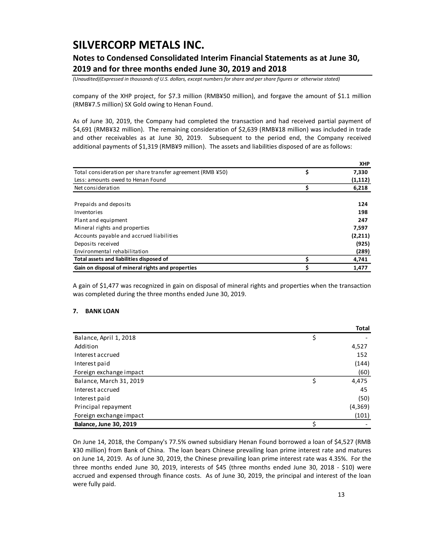## **Notes to Condensed Consolidated Interim Financial Statements as at June 30, 2019 and for three months ended June 30, 2019 and 2018**

*(Unaudited)(Expressed in thousands of U.S. dollars, except numbers for share and per share figures or otherwise stated)*

company of the XHP project, for \$7.3 million (RMB¥50 million), and forgave the amount of \$1.1 million (RMB¥7.5 million) SX Gold owing to Henan Found.

As of June 30, 2019, the Company had completed the transaction and had received partial payment of \$4,691 (RMB¥32 million). The remaining consideration of \$2,639 (RMB¥18 million) was included in trade and other receivables as at June 30, 2019. Subsequent to the period end, the Company received additional payments of \$1,319 (RMB¥9 million). The assets and liabilities disposed of are as follows:

|                                                            |    | <b>XHP</b> |
|------------------------------------------------------------|----|------------|
| Total consideration per share transfer agreement (RMB ¥50) | \$ | 7,330      |
| Less: amounts owed to Henan Found                          |    | (1, 112)   |
| Net consideration                                          |    | 6,218      |
|                                                            |    |            |
| Prepaids and deposits                                      |    | 124        |
| Inventories                                                |    | 198        |
| Plant and equipment                                        |    | 247        |
| Mineral rights and properties                              |    | 7.597      |
| Accounts payable and accrued liabilities                   |    | (2,211)    |
| Deposits received                                          |    | (925)      |
| Environmental rehabilitation                               |    | (289)      |
| Total assets and liabilities disposed of                   | S  | 4,741      |
| Gain on disposal of mineral rights and properties          |    | 1,477      |

A gain of \$1,477 was recognized in gain on disposal of mineral rights and properties when the transaction was completed during the three months ended June 30, 2019.

### **7. BANK LOAN**

|                               | Total    |
|-------------------------------|----------|
| Balance, April 1, 2018        |          |
| Addition                      | 4,527    |
| Interest accrued              | 152      |
| Interest paid                 | (144)    |
| Foreign exchange impact       | (60)     |
| Balance, March 31, 2019       | 4,475    |
| Interest accrued              | 45       |
| Interest paid                 | (50)     |
| Principal repayment           | (4, 369) |
| Foreign exchange impact       | (101)    |
| <b>Balance, June 30, 2019</b> |          |

On June 14, 2018, the Company's 77.5% owned subsidiary Henan Found borrowed a loan of \$4,527 (RMB ¥30 million) from Bank of China. The loan bears Chinese prevailing loan prime interest rate and matures on June 14, 2019. As of June 30, 2019, the Chinese prevailing loan prime interest rate was 4.35%. For the three months ended June 30, 2019, interests of \$45 (three months ended June 30, 2018 - \$10) were accrued and expensed through finance costs. As of June 30, 2019, the principal and interest of the loan were fully paid.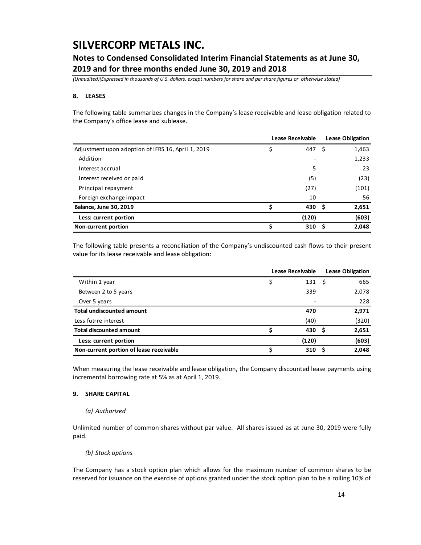### **Notes to Condensed Consolidated Interim Financial Statements as at June 30, 2019 and for three months ended June 30, 2019 and 2018**

*(Unaudited)(Expressed in thousands of U.S. dollars, except numbers for share and per share figures or otherwise stated)*

### **8. LEASES**

The following table summarizes changes in the Company's lease receivable and lease obligation related to the Company's office lease and sublease.

|                                                    | <b>Lease Receivable</b> |                  |     | <b>Lease Obligation</b> |
|----------------------------------------------------|-------------------------|------------------|-----|-------------------------|
| Adjustment upon adoption of IFRS 16, April 1, 2019 | \$                      | 447              | - Ś | 1,463                   |
| Addition                                           |                         |                  |     | 1,233                   |
| Interest accrual                                   |                         | 5                |     | 23                      |
| Interest received or paid                          |                         | (5)              |     | (23)                    |
| Principal repayment                                |                         | (27)             |     | (101)                   |
| Foreign exchange impact                            |                         | 10               |     | 56                      |
| <b>Balance, June 30, 2019</b>                      | Ś                       | 430 <sup>5</sup> |     | 2,651                   |
| Less: current portion                              |                         | (120)            |     | (603)                   |
| Non-current portion                                | \$                      | 310              | - S | 2,048                   |

The following table presents a reconciliation of the Company's undiscounted cash flows to their present value for its lease receivable and lease obligation:

|                                         | Lease Receivable | <b>Lease Obligation</b> |       |  |
|-----------------------------------------|------------------|-------------------------|-------|--|
| Within 1 year                           | 131              | -S                      | 665   |  |
| Between 2 to 5 years                    | 339              |                         | 2,078 |  |
| Over 5 years                            | ۰                |                         | 228   |  |
| <b>Total undiscounted amount</b>        | 470              |                         | 2,971 |  |
| Less futrre interest                    | (40)             |                         | (320) |  |
| <b>Total discounted amount</b>          | 430              | - S                     | 2,651 |  |
| Less: current portion                   | (120)            |                         | (603) |  |
| Non-current portion of lease receivable | 310              | .S                      | 2,048 |  |

When measuring the lease receivable and lease obligation, the Company discounted lease payments using incremental borrowing rate at 5% as at April 1, 2019.

#### **9. SHARE CAPITAL**

#### *(a) Authorized*

Unlimited number of common shares without par value. All shares issued as at June 30, 2019 were fully paid.

*(b) Stock options*

The Company has a stock option plan which allows for the maximum number of common shares to be reserved for issuance on the exercise of options granted under the stock option plan to be a rolling 10% of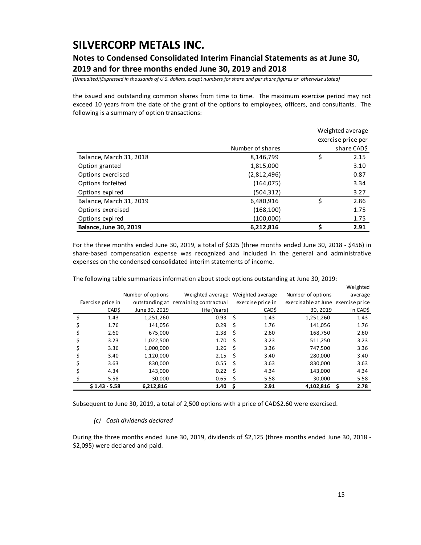### **Notes to Condensed Consolidated Interim Financial Statements as at June 30, 2019 and for three months ended June 30, 2019 and 2018**

*(Unaudited)(Expressed in thousands of U.S. dollars, except numbers for share and per share figures or otherwise stated)*

the issued and outstanding common shares from time to time. The maximum exercise period may not exceed 10 years from the date of the grant of the options to employees, officers, and consultants. The following is a summary of option transactions:

|                               |                    | Weighted average |             |  |  |
|-------------------------------|--------------------|------------------|-------------|--|--|
|                               | exercise price per |                  |             |  |  |
|                               | Number of shares   |                  | share CAD\$ |  |  |
| Balance, March 31, 2018       | 8,146,799          | \$               | 2.15        |  |  |
| Option granted                | 1,815,000          |                  | 3.10        |  |  |
| Options exercised             | (2,812,496)        |                  | 0.87        |  |  |
| Options forfeited             | (164, 075)         |                  | 3.34        |  |  |
| Options expired               | (504,312)          |                  | 3.27        |  |  |
| Balance, March 31, 2019       | 6,480,916          | \$               | 2.86        |  |  |
| Options exercised             | (168, 100)         |                  | 1.75        |  |  |
| Options expired               | (100,000)          |                  | 1.75        |  |  |
| <b>Balance, June 30, 2019</b> | 6,212,816          | Ś                | 2.91        |  |  |

For the three months ended June 30, 2019, a total of \$325 (three months ended June 30, 2018 - \$456) in share-based compensation expense was recognized and included in the general and administrative expenses on the condensed consolidated interim statements of income.

|                   |                   |                                      |      |                   |                                    | Weighted  |
|-------------------|-------------------|--------------------------------------|------|-------------------|------------------------------------|-----------|
|                   | Number of options | Weighted average                     |      | Weighted average  | Number of options                  | average   |
| Exercise price in |                   | outstanding at remaining contractual |      | exercise price in | exercisable at June exercise price |           |
| CAD\$             | June 30, 2019     | life (Years)                         |      | CAD\$             | 30, 2019                           | in CAD\$  |
| \$<br>1.43        | 1,251,260         | 0.93                                 | \$   | 1.43              | 1,251,260                          | 1.43      |
| 1.76              | 141,056           | 0.29                                 | - \$ | 1.76              | 141,056                            | 1.76      |
| 2.60              | 675.000           | 2.38                                 | - \$ | 2.60              | 168,750                            | 2.60      |
| 3.23              | 1,022,500         | 1.70 <sub>5</sub>                    |      | 3.23              | 511,250                            | 3.23      |
| 3.36              | 1,000,000         | 1.26                                 | - \$ | 3.36              | 747,500                            | 3.36      |
| 3.40              | 1,120,000         | 2.15                                 | - \$ | 3.40              | 280.000                            | 3.40      |
| 3.63              | 830,000           | 0.55                                 | \$   | 3.63              | 830,000                            | 3.63      |
| 4.34              | 143,000           | $0.22 \quad$ \$                      |      | 4.34              | 143,000                            | 4.34      |
| 5.58              | 30,000            | 0.65                                 | \$   | 5.58              | 30,000                             | 5.58      |
| $$1.43 - 5.58$    | 6,212,816         | 1.40                                 | \$.  | 2.91              | 4,102,816                          | 2.78<br>S |

The following table summarizes information about stock options outstanding at June 30, 2019:

Subsequent to June 30, 2019, a total of 2,500 options with a price of CAD\$2.60 were exercised.

#### *(c) Cash dividends declared*

During the three months ended June 30, 2019, dividends of \$2,125 (three months ended June 30, 2018 - \$2,095) were declared and paid.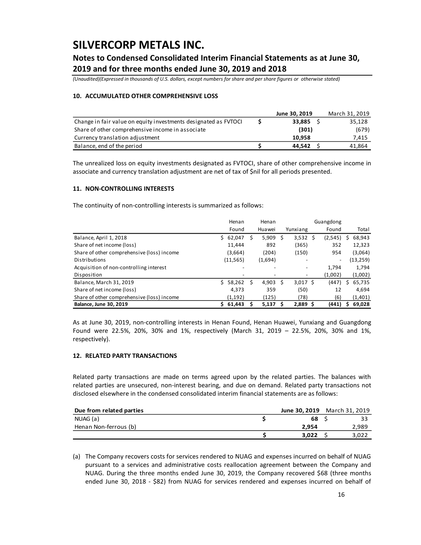## **Notes to Condensed Consolidated Interim Financial Statements as at June 30, 2019 and for three months ended June 30, 2019 and 2018**

*(Unaudited)(Expressed in thousands of U.S. dollars, except numbers for share and per share figures or otherwise stated)*

### **10. ACCUMULATED OTHER COMPREHENSIVE LOSS**

|                                                                 | June 30, 2019 | March 31, 2019 |
|-----------------------------------------------------------------|---------------|----------------|
| Change in fair value on equity investments designated as FVTOCI | 33.885        | 35,128         |
| Share of other comprehensive income in associate                | (301)         | (679)          |
| Currency translation adjustment                                 | 10.958        | 7,415          |
| Balance, end of the period                                      | 44.542        | 41.864         |

The unrealized loss on equity investments designated as FVTOCI, share of other comprehensive income in associate and currency translation adjustment are net of tax of \$nil for all periods presented.

### **11. NON-CONTROLLING INTERESTS**

The continuity of non-controlling interests is summarized as follows:

|                                            |    | Henan     |   | Henan   |   | Guangdong  |   |                          |   |          |
|--------------------------------------------|----|-----------|---|---------|---|------------|---|--------------------------|---|----------|
|                                            |    | Found     |   | Huawei  |   | Yunxiang   |   | Found                    |   | Total    |
| Balance, April 1, 2018                     | S. | 62,047    | s | 5,909   | S | 3,532      | S | (2,545)                  |   | 68,943   |
| Share of net income (loss)                 |    | 11,444    |   | 892     |   | (365)      |   | 352                      |   | 12,323   |
| Share of other comprehensive (loss) income |    | (3,664)   |   | (204)   |   | (150)      |   | 954                      |   | (3,064)  |
| Distributions                              |    | (11, 565) |   | (1,694) |   |            |   | $\overline{\phantom{a}}$ |   | (13,259) |
| Acquisition of non-controlling interest    |    |           |   |         |   | -          |   | 1.794                    |   | 1,794    |
| Disposition                                |    |           |   |         |   |            |   | (1,002)                  |   | (1,002)  |
| Balance, March 31, 2019                    | Ŝ. | 58,262    |   | 4,903   | S | $3,017$ \$ |   | (447)                    | s | 65,735   |
| Share of net income (loss)                 |    | 4,373     |   | 359     |   | (50)       |   | 12                       |   | 4,694    |
| Share of other comprehensive (loss) income |    | (1, 192)  |   | (125)   |   | (78)       |   | (6)                      |   | (1,401)  |
| <b>Balance, June 30, 2019</b>              | S. | 61.443    |   | 5.137   | S | $2,889$ \$ |   | (441)                    |   | 69,028   |

As at June 30, 2019, non-controlling interests in Henan Found, Henan Huawei, Yunxiang and Guangdong Found were 22.5%, 20%, 30% and 1%, respectively (March 31, 2019 – 22.5%, 20%, 30% and 1%, respectively).

#### **12. RELATED PARTY TRANSACTIONS**

Related party transactions are made on terms agreed upon by the related parties. The balances with related parties are unsecured, non-interest bearing, and due on demand. Related party transactions not disclosed elsewhere in the condensed consolidated interim financial statements are as follows:

| Due from related parties | <b>June 30, 2019</b> March 31, 2019 |       |
|--------------------------|-------------------------------------|-------|
| NUAG (a)                 | 68                                  |       |
| Henan Non-ferrous (b)    | 2.954                               | 2,989 |
|                          | 3.022                               | 3.022 |

(a) The Company recovers costs for services rendered to NUAG and expenses incurred on behalf of NUAG pursuant to a services and administrative costs reallocation agreement between the Company and NUAG. During the three months ended June 30, 2019, the Company recovered \$68 (three months ended June 30, 2018 - \$82) from NUAG for services rendered and expenses incurred on behalf of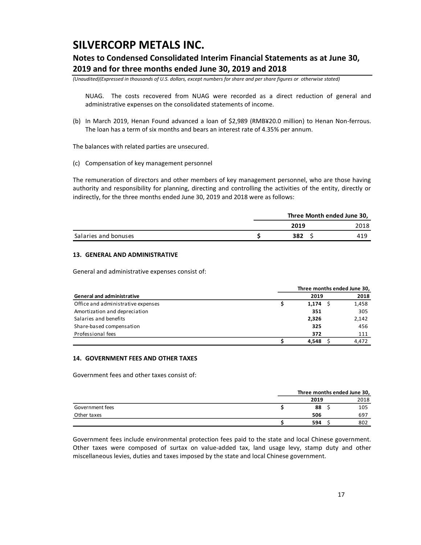### **Notes to Condensed Consolidated Interim Financial Statements as at June 30, 2019 and for three months ended June 30, 2019 and 2018**

*(Unaudited)(Expressed in thousands of U.S. dollars, except numbers for share and per share figures or otherwise stated)*

NUAG. The costs recovered from NUAG were recorded as a direct reduction of general and administrative expenses on the consolidated statements of income.

(b) In March 2019, Henan Found advanced a loan of \$2,989 (RMB¥20.0 million) to Henan Non-ferrous. The loan has a term of six months and bears an interest rate of 4.35% per annum.

The balances with related parties are unsecured.

(c) Compensation of key management personnel

The remuneration of directors and other members of key management personnel, who are those having authority and responsibility for planning, directing and controlling the activities of the entity, directly or indirectly, for the three months ended June 30, 2019 and 2018 were as follows:

|                      | Three Month ended June 30, |      |  |  |  |
|----------------------|----------------------------|------|--|--|--|
|                      | 2019                       | 2018 |  |  |  |
| Salaries and bonuses | 382                        | 419  |  |  |  |

### **13. GENERAL AND ADMINISTRATIVE**

General and administrative expenses consist of:

|                                    | Three months ended June 30, |       |
|------------------------------------|-----------------------------|-------|
| <b>General and administrative</b>  | 2019                        | 2018  |
| Office and administrative expenses | 1,174                       | 1,458 |
| Amortization and depreciation      | 351                         | 305   |
| Salaries and benefits              | 2.326                       | 2,142 |
| Share-based compensation           | 325                         | 456   |
| Professional fees                  | 372                         | 111   |
|                                    | 4.548                       | 4.472 |

#### **14. GOVERNMENT FEES AND OTHER TAXES**

Government fees and other taxes consist of:

|                 | Three months ended June 30, |  |      |  |
|-----------------|-----------------------------|--|------|--|
|                 | 2019                        |  | 2018 |  |
| Government fees | 88                          |  | 105  |  |
| Other taxes     | 506                         |  | 697  |  |
|                 | 594                         |  | 802  |  |

Government fees include environmental protection fees paid to the state and local Chinese government. Other taxes were composed of surtax on value-added tax, land usage levy, stamp duty and other miscellaneous levies, duties and taxes imposed by the state and local Chinese government.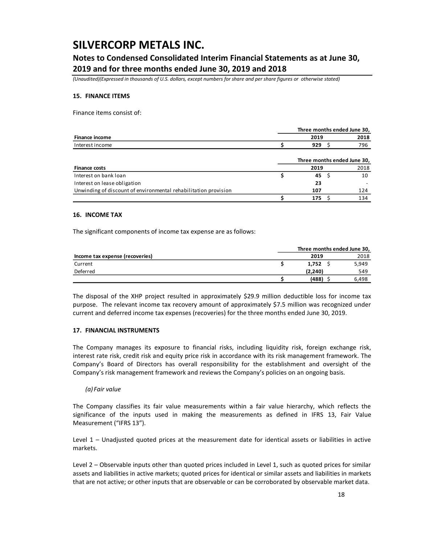### **Notes to Condensed Consolidated Interim Financial Statements as at June 30, 2019 and for three months ended June 30, 2019 and 2018**

*(Unaudited)(Expressed in thousands of U.S. dollars, except numbers for share and per share figures or otherwise stated)*

#### **15. FINANCE ITEMS**

Finance items consist of:

|                 | Three months ended June 30, |      |      |  |
|-----------------|-----------------------------|------|------|--|
| Finance income  |                             | 2019 | 2018 |  |
| Interest income |                             | 929  | 796  |  |

|                                                                 |      | Three months ended June 30, |
|-----------------------------------------------------------------|------|-----------------------------|
| <b>Finance costs</b>                                            | 2019 | 2018                        |
| Interest on bank loan                                           | 45   | 10                          |
| Interest on lease obligation                                    | 23   |                             |
| Unwinding of discount of environmental rehabilitation provision | 107  | 124                         |
|                                                                 | 175  | 134                         |

#### **16. INCOME TAX**

The significant components of income tax expense are as follows:

|                                 | Three months ended June 30, |       |
|---------------------------------|-----------------------------|-------|
| Income tax expense (recoveries) | 2019                        | 2018  |
| Current                         | 1.752                       | 5,949 |
| Deferred                        | (2.240)                     | 549   |
|                                 | (488)                       | 6.498 |

The disposal of the XHP project resulted in approximately \$29.9 million deductible loss for income tax purpose. The relevant income tax recovery amount of approximately \$7.5 million was recognized under current and deferred income tax expenses (recoveries) for the three months ended June 30, 2019.

#### **17. FINANCIAL INSTRUMENTS**

The Company manages its exposure to financial risks, including liquidity risk, foreign exchange risk, interest rate risk, credit risk and equity price risk in accordance with its risk management framework. The Company's Board of Directors has overall responsibility for the establishment and oversight of the Company's risk management framework and reviews the Company's policies on an ongoing basis.

#### *(a) Fair value*

The Company classifies its fair value measurements within a fair value hierarchy, which reflects the significance of the inputs used in making the measurements as defined in IFRS 13, Fair Value Measurement ("IFRS 13").

Level 1 – Unadjusted quoted prices at the measurement date for identical assets or liabilities in active markets.

Level 2 – Observable inputs other than quoted prices included in Level 1, such as quoted prices for similar assets and liabilities in active markets; quoted prices for identical or similar assets and liabilities in markets that are not active; or other inputs that are observable or can be corroborated by observable market data.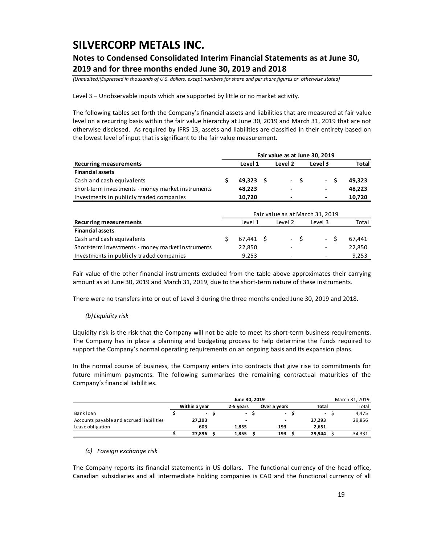## **Notes to Condensed Consolidated Interim Financial Statements as at June 30, 2019 and for three months ended June 30, 2019 and 2018**

*(Unaudited)(Expressed in thousands of U.S. dollars, except numbers for share and per share figures or otherwise stated)*

Level 3 – Unobservable inputs which are supported by little or no market activity.

The following tables set forth the Company's financial assets and liabilities that are measured at fair value level on a recurring basis within the fair value hierarchy at June 30, 2019 and March 31, 2019 that are not otherwise disclosed. As required by IFRS 13, assets and liabilities are classified in their entirety based on the lowest level of input that is significant to the fair value measurement.

|                                                   |                                 | Fair value as at June 30, 2019 |  |         |      |         |    |        |  |  |  |  |  |  |
|---------------------------------------------------|---------------------------------|--------------------------------|--|---------|------|---------|----|--------|--|--|--|--|--|--|
| <b>Recurring measurements</b>                     |                                 | Level 1                        |  | Level 2 |      | Level 3 |    | Total  |  |  |  |  |  |  |
| <b>Financial assets</b>                           |                                 |                                |  |         |      |         |    |        |  |  |  |  |  |  |
| Cash and cash equivalents                         | \$                              | $49,323$ \$                    |  |         | - \$ | - \$    |    | 49,323 |  |  |  |  |  |  |
| Short-term investments - money market instruments |                                 | 48,223                         |  |         |      |         |    | 48,223 |  |  |  |  |  |  |
| Investments in publicly traded companies          |                                 | 10,720                         |  |         |      |         |    | 10,720 |  |  |  |  |  |  |
|                                                   | Fair value as at March 31, 2019 |                                |  |         |      |         |    |        |  |  |  |  |  |  |
| <b>Recurring measurements</b>                     |                                 | Level 1                        |  | Level 2 |      | Level 3 |    | Total  |  |  |  |  |  |  |
| <b>Financial assets</b>                           |                                 |                                |  |         |      |         |    |        |  |  |  |  |  |  |
| Cash and cash equivalents                         | \$                              | 67,441 \$                      |  |         | - \$ | $\sim$  | \$ | 67,441 |  |  |  |  |  |  |
| Short-term investments - money market instruments |                                 | 22.850                         |  |         |      |         |    | 22.850 |  |  |  |  |  |  |
| Investments in publicly traded companies          |                                 | 9,253                          |  |         |      |         |    | 9.253  |  |  |  |  |  |  |

Fair value of the other financial instruments excluded from the table above approximates their carrying amount as at June 30, 2019 and March 31, 2019, due to the short-term nature of these instruments.

There were no transfers into or out of Level 3 during the three months ended June 30, 2019 and 2018.

### *(b) Liquidity risk*

Liquidity risk is the risk that the Company will not be able to meet its short-term business requirements. The Company has in place a planning and budgeting process to help determine the funds required to support the Company's normal operating requirements on an ongoing basis and its expansion plans.

In the normal course of business, the Company enters into contracts that give rise to commitments for future minimum payments. The following summarizes the remaining contractual maturities of the Company's financial liabilities.

|                                          |               |                          |  | March 31, 2019           |  |                |                          |  |        |
|------------------------------------------|---------------|--------------------------|--|--------------------------|--|----------------|--------------------------|--|--------|
|                                          | Within a vear |                          |  | 2-5 vears                |  | Over 5 years   | Total                    |  | Total  |
| Bank loan                                |               | $\overline{\phantom{a}}$ |  | $\overline{\phantom{a}}$ |  | $\overline{a}$ | $\overline{\phantom{a}}$ |  | 4,475  |
| Accounts payable and accrued liabilities |               | 27,293                   |  | -                        |  | -              | 27.293                   |  | 29,856 |
| Lease obligation                         |               | 603                      |  | 1,855                    |  | 193            | 2.651                    |  |        |
|                                          |               | 27.896                   |  | 1,855                    |  | 193            | 29.944                   |  | 34,331 |

### *(c) Foreign exchange risk*

The Company reports its financial statements in US dollars. The functional currency of the head office, Canadian subsidiaries and all intermediate holding companies is CAD and the functional currency of all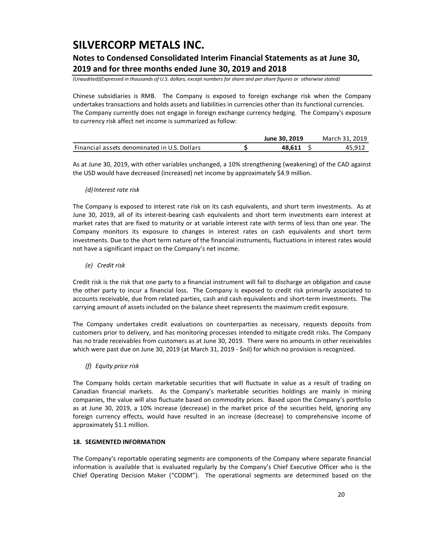## **Notes to Condensed Consolidated Interim Financial Statements as at June 30, 2019 and for three months ended June 30, 2019 and 2018**

*(Unaudited)(Expressed in thousands of U.S. dollars, except numbers for share and per share figures or otherwise stated)*

Chinese subsidiaries is RMB. The Company is exposed to foreign exchange risk when the Company undertakes transactions and holds assets and liabilities in currencies other than its functional currencies. The Company currently does not engage in foreign exchange currency hedging. The Company's exposure to currency risk affect net income is summarized as follow:

|                                              | June 30, 2019 | March 31, 2019 |
|----------------------------------------------|---------------|----------------|
| Financial assets denominated in U.S. Dollars | 48.611        | ∡45.91         |

As at June 30, 2019, with other variables unchanged, a 10% strengthening (weakening) of the CAD against the USD would have decreased (increased) net income by approximately \$4.9 million.

### *(d)Interest rate risk*

The Company is exposed to interest rate risk on its cash equivalents, and short term investments. As at June 30, 2019, all of its interest-bearing cash equivalents and short term investments earn interest at market rates that are fixed to maturity or at variable interest rate with terms of less than one year. The Company monitors its exposure to changes in interest rates on cash equivalents and short term investments. Due to the short term nature of the financial instruments, fluctuations in interest rates would not have a significant impact on the Company's net income.

*(e) Credit risk*

Credit risk is the risk that one party to a financial instrument will fail to discharge an obligation and cause the other party to incur a financial loss. The Company is exposed to credit risk primarily associated to accounts receivable, due from related parties, cash and cash equivalents and short-term investments. The carrying amount of assets included on the balance sheet represents the maximum credit exposure.

The Company undertakes credit evaluations on counterparties as necessary, requests deposits from customers prior to delivery, and has monitoring processes intended to mitigate credit risks. The Company has no trade receivables from customers as at June 30, 2019. There were no amounts in other receivables which were past due on June 30, 2019 (at March 31, 2019 - \$nil) for which no provision is recognized.

### *(f) Equity price risk*

The Company holds certain marketable securities that will fluctuate in value as a result of trading on Canadian financial markets. As the Company's marketable securities holdings are mainly in mining companies, the value will also fluctuate based on commodity prices. Based upon the Company's portfolio as at June 30, 2019, a 10% increase (decrease) in the market price of the securities held, ignoring any foreign currency effects, would have resulted in an increase (decrease) to comprehensive income of approximately \$1.1 million.

### **18. SEGMENTED INFORMATION**

The Company's reportable operating segments are components of the Company where separate financial information is available that is evaluated regularly by the Company's Chief Executive Officer who is the Chief Operating Decision Maker ("CODM"). The operational segments are determined based on the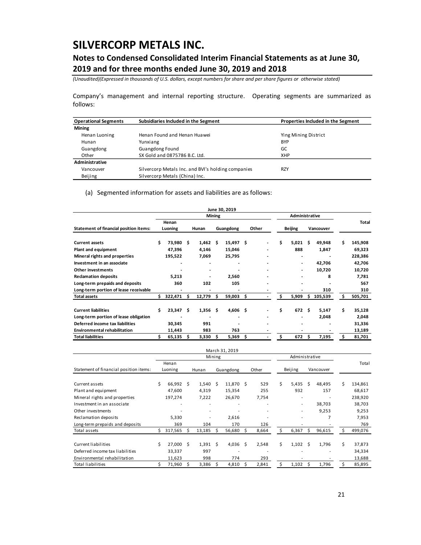## **Notes to Condensed Consolidated Interim Financial Statements as at June 30, 2019 and for three months ended June 30, 2019 and 2018**

*(Unaudited)(Expressed in thousands of U.S. dollars, except numbers for share and per share figures or otherwise stated)*

Company's management and internal reporting structure. Operating segments are summarized as follows:

| <b>Operational Segments</b> | Subsidiaries Included in the Segment               | Properties Included in the Segment |
|-----------------------------|----------------------------------------------------|------------------------------------|
| <b>Mining</b>               |                                                    |                                    |
| Henan Luoning               | Henan Found and Henan Huawei                       | Ying Mining District               |
| Hunan                       | Yunxiang                                           | <b>BYP</b>                         |
| Guangdong                   | <b>Guangdong Found</b>                             | GC                                 |
| Other                       | SX Gold and 0875786 B.C. Ltd.                      | XHP                                |
| Administrative              |                                                    |                                    |
| Vancouver                   | Silvercorp Metals Inc. and BVI's holding companies | <b>RZY</b>                         |
| Beijing                     | Silvercorp Metals (China) Inc.                     |                                    |

(a) Segmented information for assets and liabilities are as follows:

|                                        |    |             |   |                          |        | June 30, 2019 |                |                |                          |     |           |    |         |
|----------------------------------------|----|-------------|---|--------------------------|--------|---------------|----------------|----------------|--------------------------|-----|-----------|----|---------|
|                                        |    |             |   |                          | Mining |               |                | Administrative |                          |     |           |    |         |
|                                        |    | Henan       |   |                          |        |               |                |                |                          |     |           |    | Total   |
| Statement of financial position items: |    | Luoning     |   | Hunan                    |        | Guangdong     | Other          |                | <b>Beijing</b>           |     | Vancouver |    |         |
| <b>Current assets</b>                  | Ś. | 73,980 \$   |   | 1,462                    | Ŝ      | $15,497$ \$   |                | \$             | 5,021                    | S   | 49,948    | Ś  | 145,908 |
| Plant and equipment                    |    | 47,396      |   | 4,146                    |        | 15,046        |                |                | 888                      |     | 1,847     |    | 69,323  |
| Mineral rights and properties          |    | 195,522     |   | 7,069                    |        | 25,795        |                |                | $\blacksquare$           |     |           |    | 228,386 |
| Investment in an associate             |    |             |   |                          |        |               |                |                | $\overline{\phantom{a}}$ |     | 42,706    |    | 42,706  |
| Other investments                      |    |             |   | $\overline{\phantom{a}}$ |        |               |                |                | $\overline{\phantom{0}}$ |     | 10,720    |    | 10,720  |
| <b>Reclamation deposits</b>            |    | 5,213       |   | $\overline{\phantom{a}}$ |        | 2,560         |                |                | -                        |     | 8         |    | 7,781   |
| Long-term prepaids and deposits        |    | 360         |   | 102                      |        | 105           |                |                |                          |     |           |    | 567     |
| Long-term portion of lease receivable  |    |             |   |                          |        |               |                |                |                          |     | 310       |    | 310     |
| <b>Total assets</b>                    | s  | 322,471     | S | 12,779                   | s      | 59,003        | \$             | \$             | 5,909                    | S   | 105,539   | Ś  | 505,701 |
| <b>Current liabilities</b>             | Ś  | $23,347$ \$ |   | $1,356$ \$               |        | $4,606$ \$    |                | \$             | 672                      | - Ś | 5,147     | Ś. | 35,128  |
| Long-term portion of lease obligation  |    | ٠           |   | $\blacksquare$           |        | ٠             | $\blacksquare$ |                |                          |     | 2,048     |    | 2,048   |
| Deferred income tax liabilities        |    | 30,345      |   | 991                      |        |               |                |                | $\blacksquare$           |     |           |    | 31,336  |
| <b>Environmental rehabilitation</b>    |    | 11,443      |   | 983                      |        | 763           |                |                |                          |     |           |    | 13,189  |
| <b>Total liabilities</b>               |    | 65,135      | S | 3,330                    | Ś      | 5,369         | \$             | \$             | 672                      | S   | 7,195     | Ś  | 81,701  |

|                                        |    |         |   |                          |        | March 31, 2019           |    |                          |                |                          |    |           |   |         |
|----------------------------------------|----|---------|---|--------------------------|--------|--------------------------|----|--------------------------|----------------|--------------------------|----|-----------|---|---------|
|                                        |    |         |   |                          | Mining |                          |    |                          | Administrative |                          |    |           |   |         |
|                                        |    | Henan   |   |                          |        |                          |    |                          |                |                          |    |           |   | Total   |
| Statement of financial position items: |    | Luoning |   | Hunan                    |        | Guangdong                |    | Other                    |                | Beijing                  |    | Vancouver |   |         |
|                                        |    |         |   |                          |        |                          |    |                          |                |                          |    |           |   |         |
| Current assets                         | Ś  | 66,992  | S | 1,540                    | -Ś     | 11,870                   | Ś. | 529                      | Ś.             | 5,435                    | Ś. | 48,495    | Ś | 134,861 |
| Plant and equipment                    |    | 47,600  |   | 4,319                    |        | 15,354                   |    | 255                      |                | 932                      |    | 157       |   | 68,617  |
| Mineral rights and properties          |    | 197,274 |   | 7,222                    |        | 26,670                   |    | 7,754                    |                | $\overline{\phantom{a}}$ |    |           |   | 238,920 |
| Investment in an associate             |    | ۰       |   | ٠                        |        | $\overline{\phantom{a}}$ |    | $\overline{\phantom{a}}$ |                | $\overline{\phantom{a}}$ |    | 38,703    |   | 38,703  |
| Other investments                      |    |         |   | $\overline{\phantom{a}}$ |        |                          |    | ۰                        |                | $\overline{\phantom{a}}$ |    | 9,253     |   | 9,253   |
| Reclamation deposits                   |    | 5,330   |   | ٠                        |        | 2,616                    |    |                          |                | $\overline{\phantom{a}}$ |    | 7         |   | 7,953   |
| Long-term prepaids and deposits        |    | 369     |   | 104                      |        | 170                      |    | 126                      |                |                          |    |           |   | 769     |
| Total assets                           |    | 317,565 | S | 13,185                   |        | 56,680                   | Ś. | 8,664                    | Ś              | 6,367                    | Ś. | 96,615    |   | 499,076 |
|                                        |    |         |   |                          |        |                          |    |                          |                |                          |    |           |   |         |
| Current liabilities                    | Ś. | 27,000  | Ś | 1,391                    | Ś      | 4,036                    | Ś  | 2,548                    | Ś.             | 1,102                    | Ś  | 1,796     | Ś | 37,873  |
| Deferred income tax liabilities        |    | 33,337  |   | 997                      |        |                          |    |                          |                |                          |    |           |   | 34,334  |
| Environmental rehabilitation           |    | 11,623  |   | 998                      |        | 774                      |    | 293                      |                |                          |    |           |   | 13,688  |
| <b>Total liabilities</b>               |    | 71,960  | S | 3,386                    |        | 4,810                    | Ś  | 2,841                    | Ŝ.             | 1,102                    | Ŝ  | 1,796     |   | 85,895  |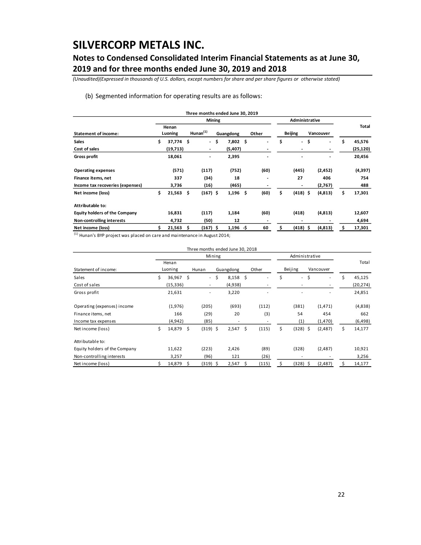## **Notes to Condensed Consolidated Interim Financial Statements as at June 30, 2019 and for three months ended June 30, 2019 and 2018**

*(Unaudited)(Expressed in thousands of U.S. dollars, except numbers for share and per share figures or otherwise stated)*

#### (b) Segmented information for operating results are as follows:

|                                                                        |                   |   |                              |      | Three months ended June 30, 2019 |       |                |                          |  |           |    |          |
|------------------------------------------------------------------------|-------------------|---|------------------------------|------|----------------------------------|-------|----------------|--------------------------|--|-----------|----|----------|
|                                                                        |                   |   | Mining                       |      |                                  |       | Administrative |                          |  |           |    |          |
| <b>Statement of income:</b>                                            | Henan<br>Luoning  |   | Hunan <sup>(1)</sup>         |      | Guangdong                        | Other |                | Beijing                  |  | Vancouver |    | Total    |
| <b>Sales</b>                                                           | \$<br>37,774 \$   |   |                              | - \$ | 7,802 \$                         |       | \$             | - \$                     |  |           | \$ | 45,576   |
| Cost of sales                                                          | (19,713)          |   | $\overline{\phantom{a}}$     |      | (5,407)                          |       |                |                          |  |           |    | (25,120) |
| <b>Gross profit</b>                                                    | 18,061            |   | $\qquad \qquad \blacksquare$ |      | 2,395                            |       |                |                          |  |           |    | 20,456   |
| <b>Operating expenses</b>                                              | (571)             |   | (117)                        |      | (752)                            | (60)  |                | (445)                    |  | (2, 452)  |    | (4,397)  |
| Finance items, net                                                     | 337               |   | (34)                         |      | 18                               |       |                | 27                       |  | 406       |    | 754      |
| Income tax recoveries (expenses)                                       | 3,736             |   | (16)                         |      | (465)                            |       |                | $\overline{\phantom{0}}$ |  | (2,767)   |    | 488      |
| Net income (loss)                                                      | \$<br>$21,563$ \$ |   | $(167)$ \$                   |      | $1,196$ \$                       | (60)  | \$             | $(418)$ \$               |  | (4, 813)  | \$ | 17,301   |
| Attributable to:                                                       |                   |   |                              |      |                                  |       |                |                          |  |           |    |          |
| <b>Equity holders of the Company</b>                                   | 16,831            |   | (117)                        |      | 1,184                            | (60)  |                | (418)                    |  | (4, 813)  |    | 12,607   |
| Non-controlling interests                                              | 4,732             |   | (50)                         |      | 12                               |       |                |                          |  |           |    | 4,694    |
| Net income (loss)                                                      | 21,563            | Ŝ | (167) \$                     |      | $1,196 - $$                      | 60    | \$             | $(418)$ \$               |  | (4, 813)  | s  | 17,301   |
| Hunan's BYP project was placed on care and maintenance in August 2014; |                   |   |                              |      |                                  |       |                |                          |  |           |    |          |

|                               |              |      |                          | Three months ended June 30, 2018 |      |       |                |                          |    |                          |    |           |
|-------------------------------|--------------|------|--------------------------|----------------------------------|------|-------|----------------|--------------------------|----|--------------------------|----|-----------|
|                               |              |      | Mining                   |                                  |      |       | Administrative |                          |    |                          |    |           |
|                               | Henan        |      |                          |                                  |      |       |                |                          |    |                          |    | Total     |
| Statement of income:          | Luoning      |      | Hunan                    | Guangdong                        |      | Other |                | Beijing                  |    | Vancouver                |    |           |
| Sales                         | \$<br>36,967 | - \$ | $\sim$                   | \$<br>8,158                      | - \$ | ٠     | Ś              | $\overline{\phantom{a}}$ | \$ | $\overline{\phantom{a}}$ | Ś. | 45,125    |
| Cost of sales                 | (15, 336)    |      | $\overline{\phantom{a}}$ | (4,938)                          |      |       |                |                          |    |                          |    | (20, 274) |
| Gross profit                  | 21,631       |      | ۰                        | 3,220                            |      |       |                |                          |    |                          |    | 24,851    |
| Operating (expenses) income   | (1,976)      |      | (205)                    | (693)                            |      | (112) |                | (381)                    |    | (1, 471)                 |    | (4,838)   |
| Finance items, net            | 166          |      | (29)                     | 20                               |      | (3)   |                | 54                       |    | 454                      |    | 662       |
| Income tax expenses           | (4,942)      |      | (85)                     | ۰                                |      |       |                | (1)                      |    | (1,470)                  |    | (6, 498)  |
| Net income (loss)             | \$<br>14,879 | - \$ | $(319)$ \$               | 2,547                            | \$   | (115) | \$             | $(328)$ \$               |    | (2,487)                  | \$ | 14,177    |
| Attributable to:              |              |      |                          |                                  |      |       |                |                          |    |                          |    |           |
| Equity holders of the Company | 11,622       |      | (223)                    | 2,426                            |      | (89)  |                | (328)                    |    | (2,487)                  |    | 10,921    |
| Non-controlling interests     | 3,257        |      | (96)                     | 121                              |      | (26)  |                | ٠                        |    |                          |    | 3,256     |
| Net income (loss)             | 14,879 \$    |      | (319) \$                 | 2,547                            | S    | (115) | Ś.             | $(328)$ \$               |    | (2, 487)                 |    | 14,177    |